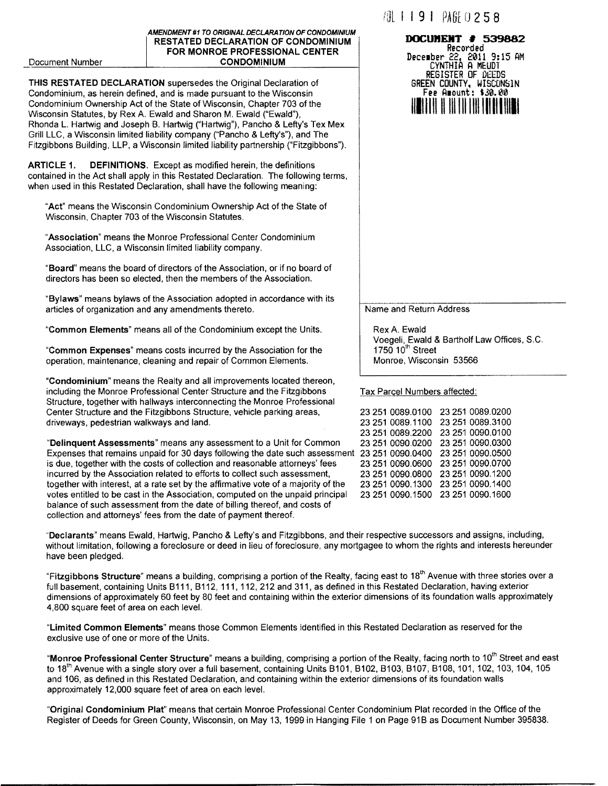#### AMENDMENT #1 TO ORIGINAL DECLARATION OF CONDOMINIUM RESTATED DECLARATION OF CONDOMINIUM FOR MONROE PROFESSIONAL CENTER CONDOMINIUM

#### Document Number

THIS RESTATED DECLARATION supersedes the Original Declaration of Condominium, as herein defined, and is made pursuant to the Wisconsin Condominium Ownership Act of the State of Wisconsin, Chapter 703 of the Wisconsin Statutes, by Rex A. Ewald and Sharon M. Ewald ("Ewald"), Rhonda L. Hartwig and Joseph B. Hartwig ("Hartwig"), Pancho & Lefty's Tex Mex Grill LLC, a Wisconsin limited liability company ("Pancho & Lefty's"), and The Fitzgibbons Building, LLP, a Wisconsin limited liability partnership ("Fitzgibbons").

ARTICLE 1. DEFINITIONS. Except as modified herein, the definitions contained in the Act shall apply in this Restated Declaration. The following terms, when used in this Restated Declaration, shall have the following meaning:

"Act" means the Wisconsin Condominium Ownership Act of the State of Wisconsin, Chapter 703 of the Wisconsin Statutes.

"Association" means the Monroe Professional Center Condominium Association, LLC, a Wisconsin limited liability company.

"Board" means the board of directors of the Association, or if no board of directors has been so elected, then the members of the Association.

"Bylaws" means bylaws of the Association adopted in accordance with its articles of organization and any amendments thereto.

"Common Elements" means all of the Condominium except the Units.

"Common Expenses" means costs incurred by the Association for the operation, maintenance, cleaning and repair of Common Elements.

"Condominium" means the Realty and all improvements located thereon, including the Monroe Professional Center Structure and the Fitzgibbons Structure, together with hallways interconnecting the Monroe Professional Center Structure and the Fitzgibbons Structure, vehicle parking areas, driveways, pedestrian walkways and land.

"Delinquent Assessments" means any assessment to a Unit for Common Expenses that remains unpaid for 30 days following the date such assessment 23 251 0090.0400 23 251 0090.0500 is due, together with the costs of collection and reasonable attorneys' fees incurred by the Association related to efforts to collect such assessment, together with interest, at a rate set by the affirmative vote of a majority of the votes entitled to be cast in the Association, computed on the unpaid principal balance of such assessment from the date of billing thereof, and costs of collection and attorneys' fees from the date of payment thereof.

·'Declarants" means Ewald, Hartwig, Pancho & Lefty's and Fitzgibbons, and their respective successors and assigns, including, without limitation, following a foreclosure or deed in lieu of foreclosure, any mortgagee to whom the rights and interests hereunder have been pledged.

"Fitzgibbons Structure" means a building, comprising a portion of the Realty, facing east to 18<sup>th</sup> Avenue with three stories over a full basement, containing Units B111, B112, 111, 112, 212 and 311, as defined in this Restated Declaration, having exterior dimensions of approximately 60 feet by 80 feet and containing within the exterior dimensions of its foundation walls approximately 4,800 square feet of area on each level.

"Limited Common Elements" means those Common Elements identified in this Restated Declaration as reserved for the exclusive use of one or more of the Units.

"Monroe Professional Center Structure" means a building, comprising a portion of the Realty, facing north to 10<sup>th</sup> Street and east to 18<sup>th</sup> Avenue with a single story over a full basement, containing Units B101, B102, B103, B107, B108, 101, 102, 103, 104, 105 and 106, as defined in this Restated Declaration, and containing within the exterior dimensions of its foundation walls approximately 12,000 square feet of area on each level.

"Original Condominium Plat" means that certain Monroe Professional Center Condominium Plat recorded in the Office of the Register of Deeds for Green County, Wisconsin, on May 13, 1999 in Hanging File 1 on Page 91B as Document Number 395838.

# **AL I 191 PAGE 0 2 5 8**

### **JXK:UJJEJIT :f** 539882 Recorded December 22, 2011 9:15 AM<br>CYNTHIA A MEUDT REGISTER OF O£EDS GREEN COUNTY, WISCONSIN<br>Fee Amount: \$30.00 1111111111111111111111111111111

Name and Return Address

Rex A. Ewald Voegeli, Ewald & Bartholf Law Offices, S.C. 1750  $10<sup>th</sup>$  Street Monroe, Wisconsin 53566

#### Tax Parcel Numbers affected:

23 251 0089.0100 23 251 0089.0200 23 251 0089.1100 23 251 0089.3100 23 251 0089.2200 23 251 0090.0100 23 251 0090.0200 23 251 0090.0300 23 251 0090.0600 23 251 0090.0700 23 251 0090.0800 23 251 0090.1200 23 251 0090.1300 23 251 0090.1400 23 251 0090.1500 23 251 0090.1600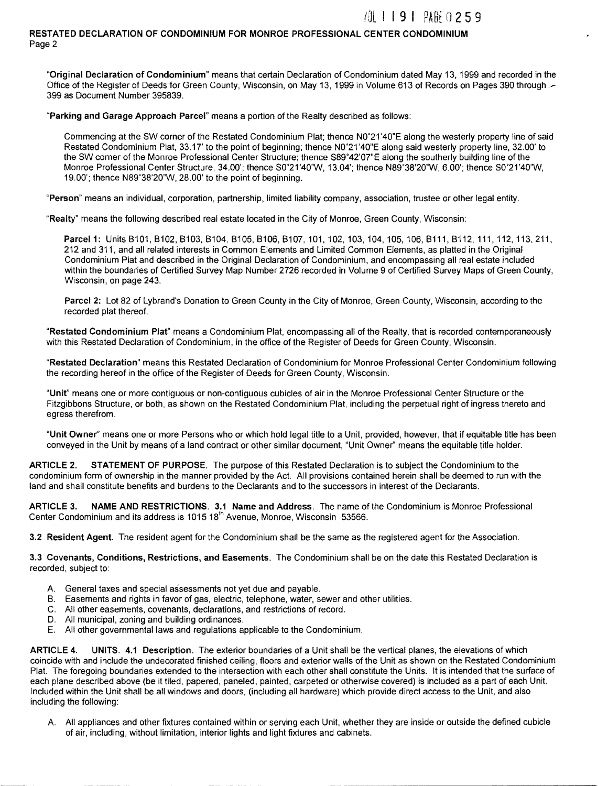**/肌 1 1 9 1 PARF 0 2 5 9** 

#### RESTATED DECLARATION OF CONDOMINIUM FOR MONROE PROFESSIONAL CENTER CONDOMINIUM Page 2

"Original Declaration of Condominium" means that certain Declaration of Condominium dated May 13, 1999 and recorded in the Office of the Register of Deeds for Green County, Wisconsin, on May 13, 1999 in Volume 613 of Records on Pages 390 through.~ 399 as Document Number 395839.

"Parking and Garage Approach Parcel" means a portion of the Realty described as follows:

Commencing at the SW corner of the Restated Condominium Plat; thence N0'21'40"E along the westerly property line of said Restated Condominium Plat, 33.17' to the point of beginning; thence N0'21'40"E along said westerly property line, 32.00' to the SW corner of the Monroe Professional Center Structure; thence S89' 42'07"E along the southerly building line of the Monroe Professional Center Structure, 34.00'; thence S0'21'40"W, 13.04'; thence N89'38'20"W, 6.00'; thence S0'21'40'W, 19.00'; thence N89'38'20"W, 28.00' to the point of beginning.

"Person" means an individual, corporation, partnership, limited liability company, association, trustee or other legal entity.

"Realty" means the following described real estate located in the City of Monroe, Green County, Wisconsin:

Parcel 1: Units B101, B102, B103, B104, B105, B106, B107, 101, 102, 103, 104, 105, 106, B111, B112, 111, 112, 113, 211, 212 and 311, and all related interests in Common Elements and Limited Common Elements, as platted in the Original Condominium Plat and described in the Original Declaration of Condominium, and encompassing all real estate included within the boundaries of Certified Survey Map Number 2726 recorded in Volume 9 of Certified Survey Maps of Green County, Wisconsin, on page 243.

Parcel 2: Lot 82 of Lybrand's Donation to Green County in the City of Monroe, Green County, Wisconsin, according to the recorded plat thereof.

"Restated Condominium Plat" means a Condominium Plat, encompassing all of the Realty, that is recorded contemporaneously with this Restated Declaration of Condominium, in the office of the Register of Deeds for Green County, Wisconsin.

"Restated Declaration" means this Restated Declaration of Condominium for Monroe Professional Center Condominium following the recording hereof in the office of the Register of Deeds for Green County, Wisconsin.

"Unit" means one or more contiguous or non-contiguous cubicles of air in the Monroe Professional Center Structure or the Fitzgibbons Structure, or both, as shown on the Restated Condominium Plat, including the perpetual right of ingress thereto and egress therefrom.

"Unit Owner" means one or more Persons who or which hold legal title to a Unit, provided, however, that if equitable title has been conveyed in the Unit by means of a land contract or other similar document, "Unit Owner" means the equitable title holder.

ARTICLE 2. STATEMENT OF PURPOSE. The purpose of this Restated Declaration is to subject the Condominium to the condominium form of ownership in the manner provided by the Act. All provisions contained herein shall be deemed to run with the land and shall constitute benefits and burdens to the Declarants and to the successors in interest of the Declarants.

ARTICLE 3. NAME AND RESTRICTIONS. 3.1 Name and Address. The name of the Condominium is Monroe Professional Center Condominium and its address is 1015 18<sup>th</sup> Avenue, Monroe, Wisconsin 53566.

3.2 Resident Agent. The resident agent for the Condominium shall be the same as the registered agent for the Association.

3.3 Covenants, Conditions, Restrictions, and Easements. The Condominium shall be on the date this Restated Declaration is recorded, subject to:

- A. General taxes and special assessments not yet due and payable.
- B. Easements and rights in favor of gas, electric, telephone, water, sewer and other utilities.
- C. All other easements, covenants, declarations, and restrictions of record.
- D. All municipal, zoning and building ordinances.
- E. All other governmental laws and regulations applicable to the Condominium.

ARTICLE 4. UNITS. 4.1 Description. The exterior boundaries of a Unit shall be the vertical planes, the elevations of which coincide with and include the undecorated finished ceiling, floors and exterior walls of the Unit as shown on the Restated Condominium Plat. The foregoing boundaries extended to the intersection with each other shall constitute the Units. It is intended that the surface of each plane described above (be it tiled, papered, paneled, painted, carpeted or otherwise covered) is included as a part of each Unit. Included within the Unit shall be all windows and doors, (including all hardware) which provide direct access to the Unit, and also including the following:

A. All appliances and other fixtures contained within or serving each Unit, whether they are inside or outside the defined cubicle of air, including, without limitation, interior lights and light fixtures and cabinets.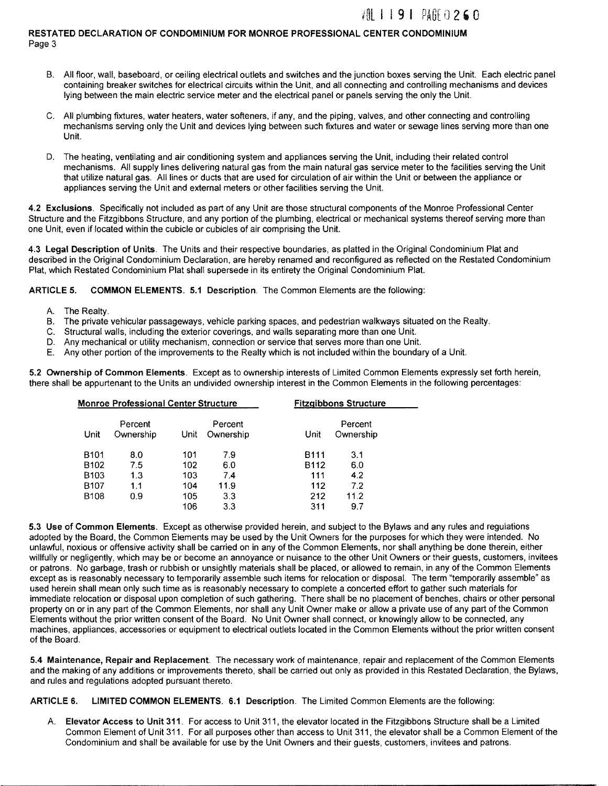## 701 1 1 9 1 PAGE 0 2 6 0

#### RESTATED DECLARATION OF CONDOMINIUM FOR MONROE PROFESSIONAL CENTER CONDOMINIUM Page 3

- B. All floor, wall, baseboard, or ceiling electrical outlets and switches and the junction boxes serving the Unit. Each electric panel containing breaker switches for electrical circuits within the Unit, and all connecting and controlling mechanisms and devices lying between the main electric service meter and the electrical panel or panels serving the only the Unit.
- C. All plumbing fixtures, water heaters, water softeners, if any, and the piping, valves, and other connecting and controlling mechanisms serving only the Unit and devices lying between such fixtures and water or sewage lines serving more than one Unit.
- D. The heating, ventilating and air conditioning system and appliances serving the Unit, including their related control mechanisms. All supply lines delivering natural gas from the main natural gas service meter to the facilities serving the Unit that utilize natural gas. All lines or ducts that are used for circulation of air within the Unit or between the appliance or appliances serving the Unit and external meters or other facilities serving the Unit.

4.2 Exclusions. Specifically not included as part of any Unit are those structural components of the Monroe Professional Center Structure and the Fitzgibbons Structure, and any portion of the plumbing, electrical or mechanical systems thereof serving more than one Unit, even if located within the cubicle or cubicles of air comprising the Unit.

4.3 Legal Description of Units. The Units and their respective boundaries, as platted in the Original Condominium Plat and described in the Original Condominium Declaration, are hereby renamed and reconfigured as reflected on the Restated Condominium Plat, which Restated Condominium Plat shall supersede in its entirety the Original Condominium Plat.

ARTICLE 5. COMMON ELEMENTS. 5.1 Description. The Common Elements are the following:

- A. The Realty.
- B. The private vehicular passageways, vehicle parking spaces, and pedestrian walkways situated on the Realty.
- C. Structural walls, including the exterior coverings, and walls separating more than one Unit.
- D. Any mechanical or utility mechanism, connection or service that serves more than one Unit.
- E. Any other portion of the improvements to the Realty which is not included within the boundary of a Unit.

5.2 Ownership of Common Elements. Except as to ownership interests of Limited Common Elements expressly set forth herein, there shall be appurtenant to the Units an undivided ownership interest in the Common Elements in the following percentages:

|                  | <b>Monroe Professional Center Structure</b> | <b>Fitzgibbons Structure</b> |                      |             |                      |  |
|------------------|---------------------------------------------|------------------------------|----------------------|-------------|----------------------|--|
| Unit             | Percent<br>Ownership                        | Unit                         | Percent<br>Ownership | Unit        | Percent<br>Ownership |  |
| B <sub>101</sub> | 8.0                                         | 101                          | 7.9                  | <b>B111</b> | 3.1                  |  |
| B <sub>102</sub> | 7.5                                         | 102                          | 6.0                  | B112        | 6.0                  |  |
| B <sub>103</sub> | 1.3                                         | 103                          | 7.4                  | 111         | 4.2                  |  |
| B <sub>107</sub> | 1.1                                         | 104                          | 11.9                 | 112         | 72                   |  |
| B <sub>108</sub> | 0.9                                         | 105                          | 3.3                  | 212         | 11.2                 |  |
|                  |                                             | 106                          | 3.3                  | 311         | 9.7                  |  |

5.3 Use of Common Elements. Except as otherwise provided herein, and subject to the Bylaws and any rules and regulations adopted by the Board, the Common Elements may be used by the Unit Owners for the purposes for which they were intended. No unlawful, noxious or offensive activity shall be carried on in any of the Common Elements, nor shall anything be done therein, either willfully or negligently, which may be or become an annoyance or nuisance to the other Unit Owners or their guests, customers, invitees or patrons. No garbage, trash or rubbish or unsightly materials shall be placed, or allowed to remain, in any of the Common Elements except as is reasonably necessary to temporarily assemble such items for relocation or disposal. The term "temporarily assemble" as used herein shall mean only such time as is reasonably necessary to complete a concerted effort to gather such materials for immediate relocation or disposal upon completion of such gathering. There shall be no placement of benches, chairs or other personal property on or in any part of the Common Elements, nor shall any Unit Owner make or allow a private use of any part of the Common Elements without the prior written consent of the Board. No Unit Owner shall connect, or knowingly allow to be connected, any machines, appliances, accessories or equipment to electrical outlets located in the Common Elements without the prior written consent of the Board.

5.4 Maintenance, Repair and Replacement. The necessary work of maintenance, repair and replacement of the Common Elements and the making of any additions or improvements thereto, shall be carried out only as provided in this Restated Declaration, the Bylaws, and rules and regulations adopted pursuant thereto.

ARTICLE 6. LIMITED COMMON ELEMENTS. 6.1 Description. The Limited Common Elements are the following:

A. Elevator Access to Unit 311. For access to Unit 311, the elevator located in the Fitzgibbons Structure shall be a Limited Common Element of Unit 311. For all purposes other than access to Unit 311, the elevator shall be a Common Element of the Condominium and shall be available for use by the Unit Owners and their guests, customers, invitees and patrons.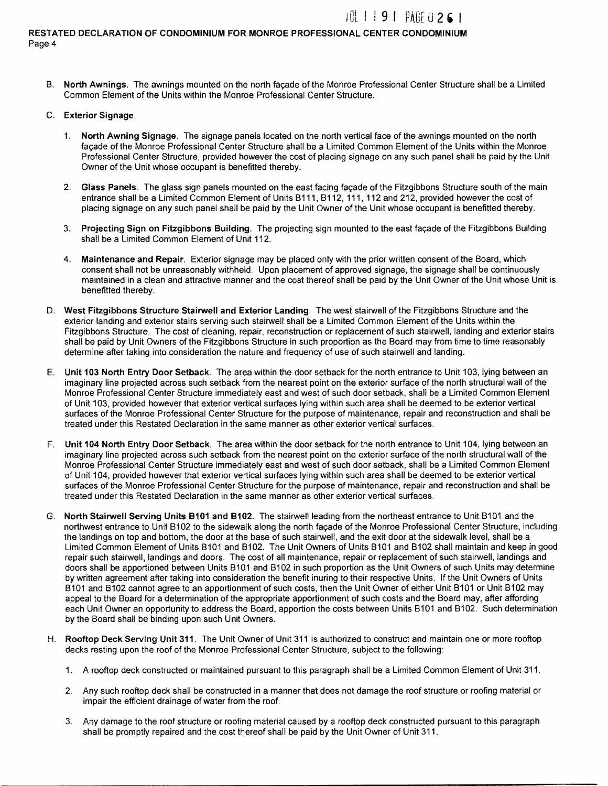### VIL ! ! 9 | PAGE 0 2 6 |

#### RESTATED DECLARATION OF CONDOMINIUM FOR MONROE PROFESSIONAL CENTER CONDOMINIUM Page 4

- B. North Awnings. The awnings mounted on the north facade of the Monroe Professional Center Structure shall be a Limited Common Element of the Units within the Monroe Professional Center Structure.
- C. Exterior Signage.
	- 1. North Awning Signage. The signage panels located on the north vertical face of the awnings mounted on the north facade of the Monroe Professional Center Structure shall be a Limited Common Element of the Units within the Monroe Professional Center Structure, provided however the cost of placing signage on any such panel shall be paid by the Unit Owner of the Unit whose occupant is benefitted thereby.
	- 2. Glass Panels. The glass sign panels mounted on the east facing façade of the Fitzgibbons Structure south of the main entrance shall be a Limited Common Element of Units B111, B112, 111, 112 and 212, provided however the cost of placing signage on any such panel shall be paid by the Unit Owner of the Unit whose occupant is benefitted thereby.
	- 3. Projecting Sign on Fitzgibbons Building. The projecting sign mounted to the east façade of the Fitzgibbons Building shall be a Limited Common Element of Unit 112.
	- 4. Maintenance and Repair. Exterior signage may be placed only with the prior written consent of the Board, which consent shall not be unreasonably withheld. Upon placement of approved signage, the signage shall be continuously maintained in a clean and attractive manner and the cost thereof shall be paid by the Unit Owner of the Unit whose Unit is benefitted thereby.
- D. West Fitzgibbons Structure Stairwell and Exterior Landing. The west stairwell of the Fitzgibbons Structure and the exterior landing and exterior stairs serving such stairwell shall be a Limited Common Element of the Units within the Fitzgibbons Structure. The cost of cleaning, repair, reconstruction or replacement of such stairwell, landing and exterior stairs shall be paid by Unit Owners of the Fitzgibbons Structure in such proportion as the Board may from time to time reasonably determine after taking into consideration the nature and frequency of use of such stairwell and landing.
- E. Unit 103 North Entry Door Setback. The area within the door setback for the north entrance to Unit 103, lying between an imaginary line projected across such setback from the nearest point on the exterior surface of the north structural wall of the Monroe Professional Center Structure immediately east and west of such door setback, shall be a Limited Common Element of Unit 103, provided however that exterior vertical surfaces lying within such area shall be deemed to be exterior vertical surfaces of the Monroe Professional Center Structure for the purpose of maintenance, repair and reconstruction and shall be treated under this Restated Declaration in the same manner as other exterior vertical surfaces.
- F. Unit 104 North Entry Door Setback. The area within the door setback for the north entrance to Unit 104, lying between an imaginary line projected across such setback from the nearest point on the exterior surface of the north structural wall of the Monroe Professional Center Structure immediately east and west of such door setback, shall be a Limited Common Element of Unit 104, provided however that exterior vertical surfaces lying within such area shall be deemed to be exterior vertical surfaces of the Monroe Professional Center Structure for the purpose of maintenance, repair and reconstruction and shall be treated under this Restated Declaration in the same manner as other exterior vertical surfaces.
- G. North Stairwell Serving Units 8101 and 8102. The stairwell leading from the northeast entrance to Unit B101 and the northwest entrance to Unit B102 to the sidewalk along the north façade of the Monroe Professional Center Structure, including the landings on top and bottom, the door at the base of such stairwell, and the exit door at the sidewalk level, shall be a Limited Common Element of Units B101 and B102. The Unit Owners of Units B101 and B102 shall maintain and keep in good repair such stairwell, landings and doors. The cost of all maintenance, repair or replacement of such stairwell, landings and doors shall be apportioned between Units 8101 and B102 in such proportion as the Unit Owners of such Units may determine by written agreement after taking into consideration the benefit inuring to their respective Units. If the Unit Owners of Units B101 and B102 cannot agree to an apportionment of such costs, then the Unit Owner of either Unit B101 or Unit B102 may appeal to the Board for a determination of the appropriate apportionment of such costs and the Board may, after affording each Unit Owner an opportunity to address the Board, apportion the costs between Units B101 and B102. Such determination by the Board shall be binding upon such Unit Owners.
- H. Rooftop Deck Serving Unit 311. The Unit Owner of Unit 311 is authorized to construct and maintain one or more rooftop decks resting upon the roof of the Monroe Professional Center Structure, subject to the following:
	- 1. A rooftop deck constructed or maintained pursuant to this paragraph shall be a Limited Common Element of Unit 311.
	- 2. Any such rooftop deck shall be constructed in a manner that does not damage the roof structure or roofing material or impair the efficient drainage of water from the roof.
	- 3. Any damage to the roof structure or roofing material caused by a rooftop deck constructed pursuant to this paragraph shall be promptly repaired and the cost thereof shall be paid by the Unit Owner of Unit 311.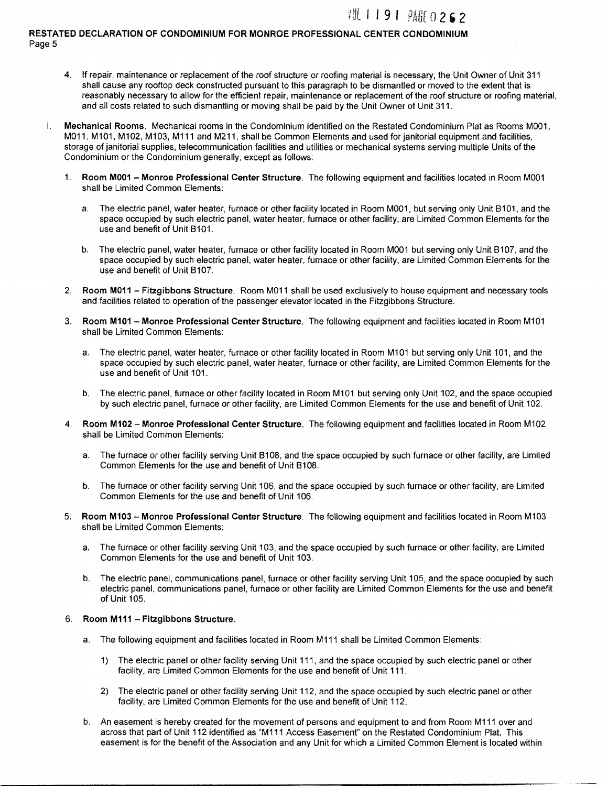## 粗 1 1 9 1 *PAGE* 0 2 6 2

#### RESTATED DECLARATION OF CONDOMINIUM FOR MONROE PROFESSIONAL CENTER CONDOMINIUM Page 5

- 4. If repair, maintenance or replacement of the roof structure or roofing material is necessary, the Unit Owner of Unit 311 shall cause any rooftop deck constructed pursuant to this paragraph to be dismantled or moved to the extent that is reasonably necessary to allow for the efficient repair, maintenance or replacement of the roof structure or roofing material, and all costs related to such dismantling or moving shall be paid by the Unit Owner of Unit 311.
- I. Mechanical Rooms. Mechanical rooms in the Condominium identified on the Restated Condominium Plat as Rooms M001, M011, M101, M102, M103, M111 and M211, shall be Common Elements and used for janitorial equipment and facilities, storage of janitorial supplies, telecommunication facilities and utilities or mechanical systems serving multiple Units of the Condominium or the Condominium generally, except as follows:
	- 1. Room M001 -Monroe Professional Center Structure. The following equipment and facilities located in Room M001 shall be Limited Common Elements:
		- a. The electric panel, water heater, furnace or other facility located in Room M001, but serving only Unit 8101, and the space occupied by such electric panel, water heater, furnace or other facility, are Limited Common Elements for the use and benefit of Unit 8101.
		- b. The electric panel, water heater, furnace or other facility located in Room M001 but serving only Unit 8107, and the space occupied by such electric panel, water heater, furnace or other facility, are Limited Common Elements for the use and benefit of Unit B107.
	- 2. Room M011 Fitzgibbons Structure. Room M011 shall be used exclusively to house equipment and necessary tools and facilities related to operation of the passenger elevator located in the Fitzgibbons Structure.
	- 3. Room M101- Monroe Professional Center Structure. The following equipment and facilities located in Room M101 shall be Limited Common Elements:
		- a. The electric panel, water heater, furnace or other facility located in Room M101 but serving only Unit 101, and the space occupied by such electric panel, water heater, furnace or other facility, are Limited Common Elements for the use and benefit of Unit 101.
		- b. The electric panel, furnace or other facility located in Room M101 but serving only Unit 102, and the space occupied by such electric panel, furnace or other facility, are Limited Common Elements for the use and benefit of Unit 102.
	- 4. Room M102- Monroe Professional Center Structure. The following equipment and facilities located in Room M102 shall be Limited Common Elements:
		- a. The furnace or other facility serving Unit 8108, and the space occupied by such furnace or other facility, are Limited Common Elements for the use and benefit of Unit 8108.
		- b. The furnace or other facility serving Unit 106, and the space occupied by such furnace or other facility, are Limited Common Elements for the use and benefit of Unit 106.
	- 5. Room M103- Monroe Professional Center Structure. The following equipment and facilities located in Room M103 shall be Limited Common Elements:
		- a. The furnace or other facility serving Unit 103, and the space occupied by such furnace or other facility, are Limited Common Elements for the use and benefit of Unit 103.
		- b. The electric panel, communications panel, furnace or other facility serving Unit 105, and the space occupied by such electric panel, communications panel, furnace or other facility are Limited Common Elements for the use and benefit of Unit 105.

#### 6. Room M111- Fitzgibbons Structure.

- a. The following equipment and facilities located in Room M111 shall be Limited Common Elements:
	- 1) The electric panel or other facility serving Unit 111, and the space occupied by such electric panel or other facility, are Limited Common Elements for the use and benefit of Unit 111.
	- 2) The electric panel or other facility serving Unit 112, and the space occupied by such electric panel or other facility, are Limited Common Elements for the use and benefit of Unit 112.
- b. An easement is hereby created for the movement of persons and equipment to and from Room M111 over and across that part of Unit 112 identified as "M111 Access Easement" on the Restated Condominium Plat. This easement is for the benefit of the Association and any Unit for which a Limited Common Element is located within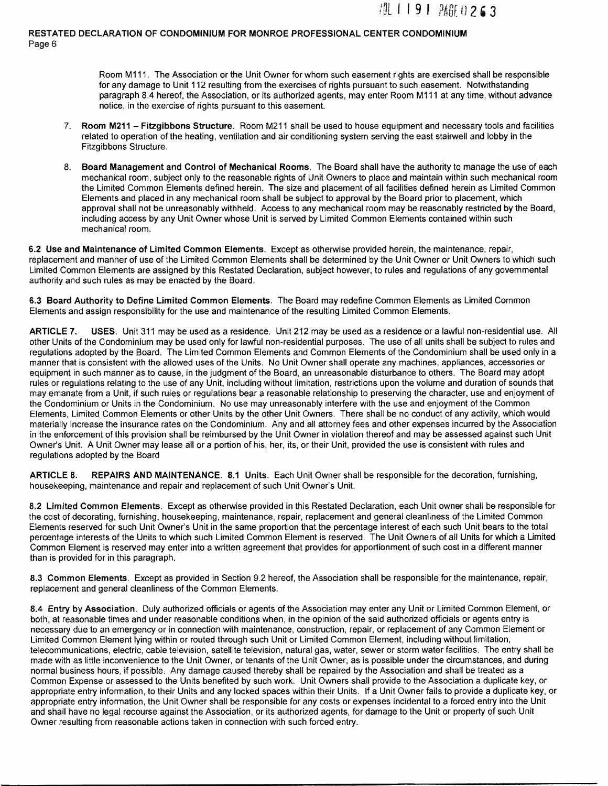Room M111. The Association or the Unit Owner for whom such easement rights are exercised shall be responsible for any damage to Unit 112 resulting from the exercises of rights pursuant to such easement. Notwithstanding paragraph 8.4 hereof, the Association, or its authorized agents, may enter Room M111 at any time, without advance notice, in the exercise of rights pursuant to this easement.

- 7. Room M211 Fitzgibbons Structure. Room M211 shall be used to house equipment and necessary tools and facilities related to operation of the heating, ventilation and air conditioning system serving the east stairwell and lobby in the Fitzgibbons Structure.
- 8. Board Management and Control of Mechanical Rooms. The Board shall have the authority to manage the use of each mechanical room, subject only to the reasonable rights of Unit Owners to place and maintain within such mechanical room the Limited Common Elements defined herein. The size and placement of all facilities defined herein as Limited Common Elements and placed in any mechanical room shall be subject to approval by the Board prior to placement, which approval shall not be unreasonably withheld. Access to any mechanical room may be reasonably restricted by the Board, including access by any Unit Owner whose Unit is served by Limited Common Elements contained within such mechanical room.

6.2 Use and Maintenance of Limited Common Elements. Except as otherwise provided herein, the maintenance, repair, replacement and manner of use of the Limited Common Elements shall be determined by the Unit Owner or Unit Owners to which such Limited Common Elements are assigned by this Restated Declaration, subject however, to rules and regulations of any governmental authority and such rules as may be enacted by the Board.

6.3 Board Authority to Define Limited Common Elements. The Board may redefine Common Elements as Limited Common Elements and assign responsibility for the use and maintenance of the resulting Limited Common Elements.

ARTICLE 7. USES. Unit 311 may be used as a residence. Unit 212 may be used as a residence or a lawful non-residential use. All other Units of the Condominium may be used only for lawful non-residential purposes. The use of all units shall be subject to rules and regulations adopted by the Board. The Limited Common Elements and Common Elements of the Condominium shall be used only in a manner that is consistent with the allowed uses of the Units. No Unit Owner shall operate any machines, appliances, accessories or equipment in such manner as to cause, in the judgment of the Board, an unreasonable disturbance to others. The Board may adopt rules or regulations relating to the use of any Unit, including without limitation, restrictions upon the volume and duration of sounds that may emanate from a Unit, if such rules or regulations bear a reasonable relationship to preserving the character, use and enjoyment of the Condominium or Units in the Condominium. No use may unreasonably interfere with the use and enjoyment of the Common Elements, Limited Common Elements or other Units by the other Unit Owners. There shall be no conduct of any activity, which would materially increase the insurance rates on the Condominium. Any and all attorney fees and other expenses incurred by the Association in the enforcement of this provision shall be reimbursed by the Unit Owner in violation thereof and may be assessed against such Unit Owner's Unit. A Unit Owner may lease all or a portion of his, her, its, or their Unit, provided the use is consistent with rules and regulations adopted by the Board

ARTICLE 8. REPAIRS AND MAINTENANCE. 8.1 Units. Each Unit Owner shall be responsible for the decoration, furnishing, housekeeping, maintenance and repair and replacement of such Unit Owner's Unit.

8.2 Limited Common Elements. Except as otherwise provided in this Restated Declaration, each Unit owner shall be responsible for the cost of decorating, furnishing, housekeeping, maintenance, repair, replacement and general cleanliness of the Limited Common Elements reserved for such Unit Owner's Unit in the same proportion that the percentage interest of each such Unit bears to the total percentage interests of the Units to which such Limited Common Element is reserved. The Unit Owners of all Units for which a Limited Common Element is reserved may enter into a written agreement that provides for apportionment of such cost in a different manner than is provided for in this paragraph.

8.3 Common Elements. Except as provided in Section 9.2 hereof, the Association shall be responsible for the maintenance, repair, replacement and general cleanliness of the Common Elements.

8.4 Entry by Association. Duly authorized officials or agents of the Association may enter any Unit or Limited Common Element, or both, at reasonable times and under reasonable conditions when, in the opinion of the said authorized officials or agents entry is necessary due to an emergency or in connection with maintenance, construction, repair, or replacement of any Common Element or Limited Common Element lying within or routed through such Unit or Limited Common Element, including without limitation, telecommunications, electric, cable television, satellite television, natural gas, water, sewer or storm water facilities. The entry shall be made with as little inconvenience to the Unit Owner, or tenants of the Unit Owner, as is possible under the circumstances, and during normal business hours, if possible. Any damage caused thereby shall be repaired by the Association and shall be treated as a Common Expense or assessed to the Units benefited by such work. Unit Owners shall provide to the Association a duplicate key, or appropriate entry information, to their Units and any locked spaces within their Units. If a Unit Owner fails to provide a duplicate key, or appropriate entry information, the Unit Owner shall be responsible for any costs or expenses incidental to a forced entry into the Unit and shall have no legal recourse against the Association, or its authorized agents, for damage to the Unit or property of such Unit Owner resulting from reasonable actions taken in connection with such forced entry.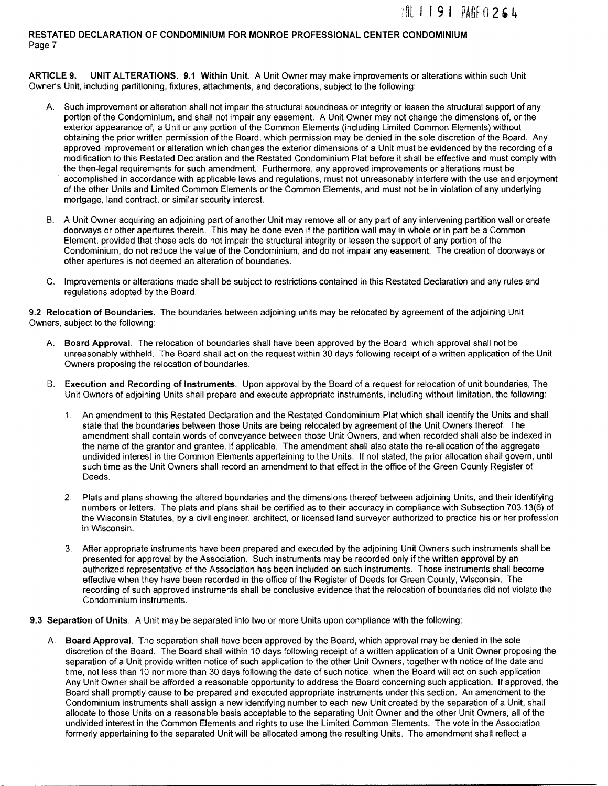ARTICLE 9. UNIT ALTERATIONS. 9.1 Within Unit. A Unit Owner may make improvements or alterations within such Unit Owner's Unit, including partitioning, fixtures, attachments, and decorations, subject to the following:

- A. Such improvement or alteration shall not impair the structural soundness or integrity or lessen the structural support of any portion of the Condominium, and shall not impair any easement. A Unit Owner may not change the dimensions of, or the exterior appearance of, a Unit or any portion of the Common Elements (including Limited Common Elements) without obtaining the prior written permission of the Board, which permission may be denied in the sole discretion of the Board. Any approved improvement or alteration which changes the exterior dimensions of a Unit must be evidenced by the recording of a modification to this Restated Declaration and the Restated Condominium Plat before it shall be effective and must comply with the then-legal requirements for such amendment. Furthermore, any approved improvements or alterations must be accomplished in accordance with applicable laws and regulations, must not unreasonably interfere with the use and enjoyment of the other Units and Limited Common Elements or the Common Elements, and must not be in violation of any underlying mortgage, land contract, or similar security interest.
- B. A Unit Owner acquiring an adjoining part of another Unit may remove all or any part of any intervening partition wall or create doorways or other apertures therein. This may be done even if the partition wall may in whole or in part be a Common Element, provided that those acts do not impair the structural integrity or lessen the support of any portion of the Condominium, do not reduce the value of the Condominium, and do not impair any easement. The creation of doorways or other apertures is not deemed an alteration of boundaries.
- C. Improvements or alterations made shall be subject to restrictions contained in this Restated Declaration and any rules and regulations adopted by the Board.

9.2 Relocation of Boundaries. The boundaries between adjoining units may be relocated by agreement of the adjoining Unit Owners, subject to the following:

- A. Board Approval. The relocation of boundaries shall have been approved by the Board, which approval shall not be unreasonably withheld. The Board shall act on the request within 30 days following receipt of a written application of the Unit Owners proposing the relocation of boundaries.
- B. Execution and Recording of Instruments. Upon approval by the Board of a request for relocation of unit boundaries, The Unit Owners of adjoining Units shall prepare and execute appropriate instruments, including without limitation, the following:
	- 1. An amendment to this Restated Declaration and the Restated Condominium Plat which shall identify the Units and shall state that the boundaries between those Units are being relocated by agreement of the Unit Owners thereof. The amendment shall contain words of conveyance between those Unit Owners, and when recorded shall also be indexed in the name of the grantor and grantee, if applicable. The amendment shall also state the re-allocation of the aggregate undivided interest in the Common Elements appertaining to the Units. If not stated, the prior allocation shall govern, until such time as the Unit Owners shall record an amendment to that effect in the office of the Green County Register of Deeds.
	- 2. Plats and plans showing the altered boundaries and the dimensions thereof between adjoining Units, and their identifying numbers or letters. The plats and plans shall be certified as to their accuracy in compliance with Subsection 703.13(6) of the Wisconsin Statutes, by a civil engineer, architect, or licensed land surveyor authorized to practice his or her profession in Wisconsin.
	- 3. After appropriate instruments have been prepared and executed by the adjoining Unit Owners such instruments shall be presented for approval by the Association. Such instruments may be recorded only if the written approval by an authorized representative of the Association has been included on such instruments. Those instruments shall become effective when they have been recorded in the office of the Register of Deeds for Green County, Wisconsin. The recording of such approved instruments shall be conclusive evidence that the relocation of boundaries did not violate the Condominium instruments.
- 9.3 Separation of Units. A Unit may be separated into two or more Units upon compliance with the following:
	- A. Board Approval. The separation shall have been approved by the Board, which approval may be denied in the sole discretion of the Board. The Board shall within 10 days following receipt of a written application of a Unit Owner proposing the separation of a Unit provide written notice of such application to the other Unit Owners, together with notice of the date and time, not less than 10 nor more than 30 days following the date of such notice, when the Board will act on such application. Any Unit Owner shall be afforded a reasonable opportunity to address the Board concerning such application. If approved, the Board shall promptly cause to be prepared and executed appropriate instruments under this section. An amendment to the Condominium instruments shall assign a new identifying number to each new Unit created by the separation of a Unit, shall allocate to those Units on a reasonable basis acceptable to the separating Unit Owner and the other Unit Owners, all of the undivided interest in the Common Elements and rights to use the Limited Common Elements. The vote in the Association formerly appertaining to the separated Unit will be allocated among the resulting Units. The amendment shall reflect a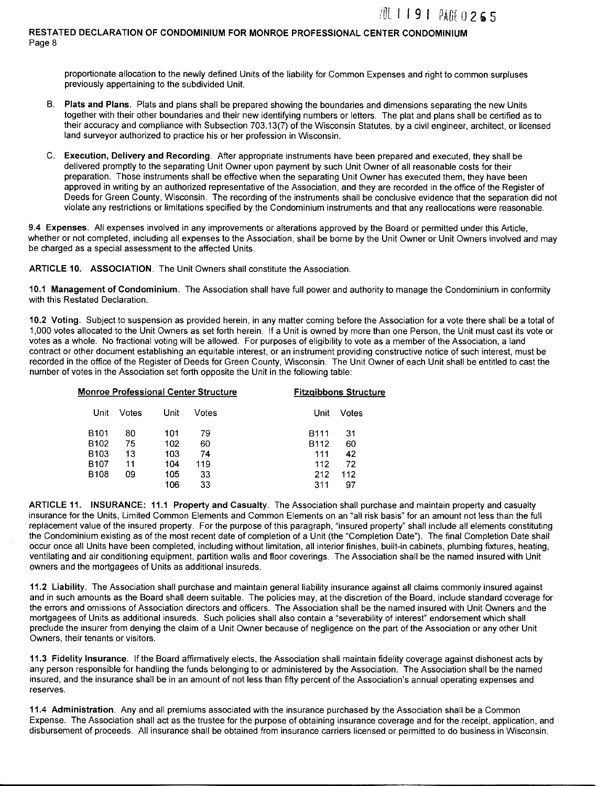proportionate allocation to the newly defined Units of the liability for Common Expenses and right to common surpluses previously appertaining to the subdivided Unit.

- B. Plats and Plans. Plats and plans shall be prepared showing the boundaries and dimensions separating the new Units together with their other boundaries and their new identifying numbers or letters. The plat and plans shall be certified as to their accuracy and compliance with Subsection 703.13(7) of the Wisconsin Statutes, by a civil engineer, architect, or licensed land surveyor authorized to practice his or her profession in Wisconsin.
- C. Execution, Delivery and Recording. After appropriate instruments have been prepared and executed, they shall be delivered promptly to the separating Unit Owner upon payment by such Unit Owner of all reasonable costs for their preparation. Those instruments shall be effective when the separating Unit Owner has executed them, they have been approved in writing by an authorized representative of the Association, and they are recorded in the office of the Register of Deeds for Green County, Wisconsin. The recording of the instruments shall be conclusive evidence that the separation did not violate any restrictions or limitations specified by the Condominium instruments and that any reallocations were reasonable.

9.4 Expenses. All expenses involved in any improvements or alterations approved by the Board or permitted under this Article, whether or not completed, including all expenses to the Association, shall be borne by the Unit Owner or Unit Owners involved and may be charged as a special assessment to the affected Units.

ARTICLE 10. ASSOCIATION. The Unit Owners shall constitute the Association.

10.1 Management of Condominium. The Association shall have full power and authority to manage the Condominium in conformity with this Restated Declaration.

10.2 Voting. Subject to suspension as provided herein, in any matter coming before the Association for a vote there shall be a total of 1,000 votes allocated to the Unit Owners as set forth herein. If a Unit is owned by more than one Person, the Unit must cast its vote or votes as a whole. No fractional voting will be allowed. For purposes of eligibility to vote as a member of the Association, a land contract or other document establishing an equitable interest, or an instrument providing constructive notice of such interest, must be recorded in the office of the Register of Deeds for Green County, Wisconsin. The Unit Owner of each Unit shall be entitled to cast the number of votes in the Association set forth opposite the Unit in the following table:

|                  | <b>Monroe Professional Center Structure</b> |      |       | <b>Fitzgibbons Structure</b> |       |
|------------------|---------------------------------------------|------|-------|------------------------------|-------|
| Unit             | Votes                                       | Unit | Votes | Unit                         | Votes |
| B <sub>101</sub> | 80                                          | 101  | 79    | B111                         | 31    |
| B <sub>102</sub> | 75                                          | 102  | 60    | B112                         | 60    |
| B <sub>103</sub> | 13                                          | 103  | 74    | 111                          | 42    |
| B <sub>107</sub> | 11                                          | 104  | 119   | 112                          | 72    |
| B <sub>108</sub> | 09                                          | 105  | 33    | 212                          | 112   |
|                  |                                             | 106  | 33    | 311                          | 97    |

ARTICLE 11. INSURANCE: 11.1 Property and Casualty. The Association shall purchase and maintain property and casualty insurance for the Units, Limited Common Elements and Common Elements on an "all risk basis" for an amount not less than the full replacement value of the insured property. For the purpose of this paragraph, "insured property" shall include all elements constituting the Condominium existing as of the most recent date of completion of a Unit (the "Completion Date"). The final Completion Date shall occur once all Units have been completed, including without limitation, all interior finishes, built-in cabinets, plumbing fixtures, heating, ventilating and air conditioning equipment, partition walls and floor coverings. The Association shall be the named insured with Unit owners and the mortgagees of Units as additional insureds.

11.2 Liability. The Association shall purchase and maintain general liability insurance against all claims commonly insured against and in such amounts as the Board shall deem suitable. The policies may, at the discretion of the Board, include standard coverage for the errors and omissions of Association directors and officers. The Association shall be the named insured with Unit Owners and the mortgagees of Units as additional insureds. Such policies shall also contain a "severability of interest" endorsement which shall preclude the insurer from denying the claim of a Unit Owner because of negligence on the part of the Association or any other Unit Owners, their tenants or visitors.

11.3 Fidelity Insurance. If the Board affirmatively elects, the Association shall maintain fidelity coverage against dishonest acts by any person responsible for handling the funds belonging to or administered by the Association. The Association shall be the named insured, and the insurance shall be in an amount of not less than fifty percent of the Association's annual operating expenses and reserves.

11.4 Administration. Any and all premiums associated with the insurance purchased by the Association shall be a Common Expense. The Association shall act as the trustee for the purpose of obtaining insurance coverage and for the receipt, application, and disbursement of proceeds. All insurance shall be obtained from insurance carriers licensed or permitted to do business in Wisconsin.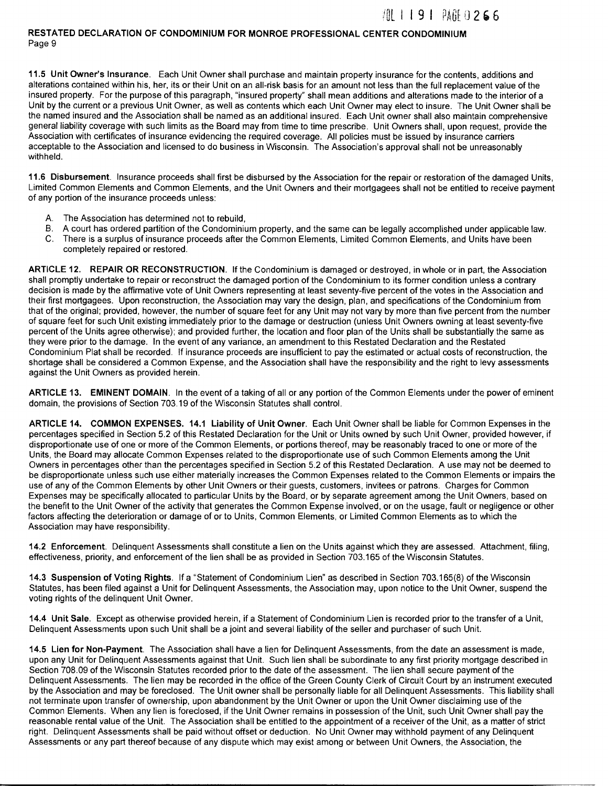**11.5 Unit Owner's Insurance.** Each Unit Owner shall purchase and maintain property insurance for the contents, additions and alterations contained within his, her, its or their Unit on an all-risk basis for an amount not less than the full replacement value of the insured property. For the purpose of this paragraph, "insured property" shall mean additions and alterations made to the interior of a Unit by the current or a previous Unit Owner, as well as contents which each Unit Owner may elect to insure. The Unit Owner shall be the named insured and the Association shall be named as an additional insured. Each Unit owner shall also maintain comprehensive general liability coverage with such limits as the Board may from time to time prescribe. Unit Owners shall, upon request, provide the Association with certificates of insurance evidencing the required coverage. All policies must be issued by insurance carriers acceptable to the Association and licensed to do business in Wisconsin. The Association's approval shall not be unreasonably withheld.

**11.6 Disbursement.** Insurance proceeds shall first be disbursed by the Association for the repair or restoration of the damaged Units, Limited Common Elements and Common Elements, and the Unit Owners and their mortgagees shall not be entitled to receive payment of any portion of the insurance proceeds unless:

- A. The Association has determined not to rebuild,
- B. A court has ordered partition of the Condominium property, and the same can be legally accomplished under applicable law.
- C. There is a surplus of insurance proceeds after the Common Elements, Limited Common Elements, and Units have been completely repaired or restored.

**ARTICLE 12. REPAIR OR RECONSTRUCTION.** If the Condominium is damaged or destroyed, in whole or in part, the Association shall promptly undertake to repair or reconstruct the damaged portion of the Condominium to its former condition unless a contrary decision is made by the affirmative vote of Unit Owners representing at least seventy-five percent of the votes in the Association and their first mortgagees. Upon reconstruction, the Association may vary the design, plan, and specifications of the Condominium from that of the original; provided, however, the number of square feet for any Unit may not vary by more than five percent from the number of square feet for such Unit existing immediately prior to the damage or destruction (unless Unit Owners owning at least seventy-five percent of the Units agree otherwise); and provided further, the location and floor plan of the Units shall be substantially the same as they were prior to the damage. In the event of any variance, an amendment to this Restated Declaration and the Restated Condominium Plat shall be recorded. If insurance proceeds are insufficient to pay the estimated or actual costs of reconstruction, the shortage shall be considered a Common Expense, and the Association shall have the responsibility and the right to levy assessments against the Unit Owners as provided herein.

**ARTICLE 13. EMINENT DOMAIN.** In the event of a taking of all or any portion of the Common Elements under the power of eminent domain, the provisions of Section 703.19 of the Wisconsin Statutes shall control.

**ARTICLE 14. COMMON EXPENSES. 14.1 Liability of Unit Owner.** Each Unit Owner shall be liable for Common Expenses in the percentages specified in Section 5.2 of this Restated Declaration for the Unit or Units owned by such Unit Owner, provided however, if disproportionate use of one or more of the Common Elements, or portions thereof, may be reasonably traced to one or more of the Units, the Board may allocate Common Expenses related to the disproportionate use of such Common Elements among the Unit Owners in percentages other than the percentages specified in Section 5.2 of this Restated Declaration. A use may not be deemed to be disproportionate unless such use either materially increases the Common Expenses related to the Common Elements or impairs the use of any of the Common Elements by other Unit Owners or their guests, customers, invitees or patrons. Charges for Common Expenses may be specifically allocated to particular Units by the Board, or by separate agreement among the Unit Owners, based on the benefit to the Unit Owner of the activity that generates the Common Expense involved, or on the usage, fault or negligence or other factors affecting the deterioration or damage of or to Units, Common Elements, or Limited Common Elements as to which the Association may have responsibility.

**14.2 Enforcement.** Delinquent Assessments shall constitute a lien on the Units against which they are assessed. Attachment, filing, effectiveness, priority, and enforcement of the lien shall be as provided in Section 703.165 of the Wisconsin Statutes.

**14.3 Suspension of Voting Rights.** If a "Statement of Condominium Lien" as described in Section 703.165(8) of the Wisconsin Statutes, has been filed against a Unit for Delinquent Assessments, the Association may, upon notice to the Unit Owner, suspend the voting rights of the delinquent Unit Owner.

**14.4 Unit Sale.** Except as otherwise provided herein, if a Statement of Condominium Lien is recorded prior to the transfer of a Unit, Delinquent Assessments upon such Unit shall be a joint and several liability of the seller and purchaser of such Unit.

**14.5 Lien for Non-Payment.** The Association shall have a lien for Delinquent Assessments, from the date an assessment is made, upon any Unit for Delinquent Assessments against that Unit. Such lien shall be subordinate to any first priority mortgage described in Section 708.09 of the Wisconsin Statutes recorded prior to the date of the assessment. The lien shall secure payment of the Delinquent Assessments. The lien may be recorded in the office of the Green County Clerk of Circuit Court by an instrument executed by the Association and may be foreclosed. The Unit owner shall be personally liable for all Delinquent Assessments. This liability shall not terminate upon transfer of ownership, upon abandonment by the Unit Owner or upon the Unit Owner disclaiming use of the Common Elements. When any lien is foreclosed, if the Unit Owner remains in possession of the Unit, such Unit Owner shall pay the reasonable rental value of the Unit. The Association shall be entitled to the appointment of a receiver of the Unit, as a matter of strict right. Delinquent Assessments shall be paid without offset or deduction. No Unit Owner may withhold payment of any Delinquent Assessments or any part thereof because of any dispute which may exist among or between Unit Owners, the Association, the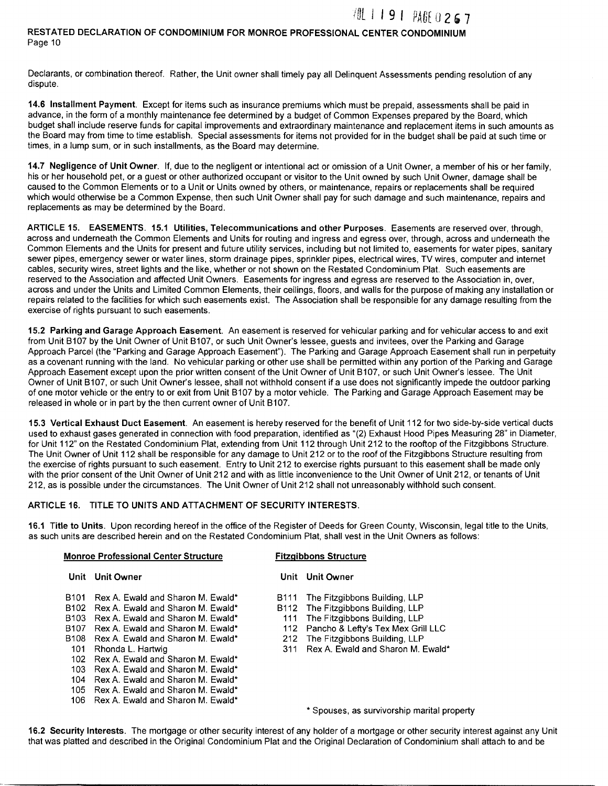### i~L I I 9 I *PA.G[* u 2 , 7 RESTATED DECLARATION OF CONDOMINIUM FOR MONROE PROFESSIONAL CENTER CONDOMINIUM Page 10

Declarants, or combination thereof. Rather, the Unit owner shall timely pay all Delinquent Assessments pending resolution of any dispute.

14.6 Installment Payment. Except for items such as insurance premiums which must be prepaid, assessments shall be paid in advance, in the form of a monthly maintenance fee determined by a budget of Common Expenses prepared by the Board, which budget shall include reserve funds for capital improvements and extraordinary maintenance and replacement items in such amounts as the Board may from time to time establish. Special assessments for items not provided for in the budget shall be paid at such time or times, in a lump sum, or in such installments, as the Board may determine.

14.7 Negligence of Unit Owner. If, due to the negligent or intentional act or omission of a Unit Owner, a member of his or her family, his or her household pet, or a guest or other authorized occupant or visitor to the Unit owned by such Unit Owner, damage shall be caused to the Common Elements or to a Unit or Units owned by others, or maintenance, repairs or replacements shall be required which would otherwise be a Common Expense, then such Unit Owner shall pay for such damage and such maintenance, repairs and replacements as may be determined by the Board.

ARTICLE 15. EASEMENTS. 15.1 Utilities, Telecommunications and other Purposes. Easements are reserved over, through, across and underneath the Common Elements and Units for routing and ingress and egress over, through, across and underneath the Common Elements and the Units for present and future utility services, including but not limited to, easements for water pipes, sanitary sewer pipes, emergency sewer or water lines, storm drainage pipes, sprinkler pipes, electrical wires, TV wires, computer and internet cables, security wires, street lights and the like, whether or not shown on the Restated Condominium Plat. Such easements are reserved to the Association and affected Unit Owners. Easements for ingress and egress are reserved to the Association in, over, across and under the Units and Limited Common Elements, their ceilings, floors, and walls for the purpose of making any installation or repairs related to the facilities for which such easements exist. The Association shall be responsible for any damage resulting from the exercise of rights pursuant to such easements.

15.2 Parking and Garage Approach Easement. An easement is reserved for vehicular parking and for vehicular access to and exit from Unit B107 by the Unit Owner of Unit B107, or such Unit Owner's lessee, guests and invitees, over the Parking and Garage Approach Parcel (the "Parking and Garage Approach Easement"). The Parking and Garage Approach Easement shall run in perpetuity as a covenant running with the land. No vehicular parking or other use shall be permitted within any portion of the Parking and Garage Approach Easement except upon the prior written consent of the Unit Owner of Unit B107, or such Unit Owner's lessee. The Unit Owner of Unit B107, or such Unit Owner's lessee, shall not withhold consent if a use does not significantly impede the outdoor parking of one motor vehicle or the entry to or exit from Unit B107 by a motor vehicle. The Parking and Garage Approach Easement may be released in whole or in part by the then current owner of Unit B107.

15.3 Vertical Exhaust Duct Easement. An easement is hereby reserved for the benefit of Unit 112 for two side-by-side vertical ducts used to exhaust gases generated in connection with food preparation, identified as "(2) Exhaust Hood Pipes Measuring 28" in Diameter, for Unit 112" on the Restated Condominium Plat, extending from Unit 112 through Unit 212 to the rooftop of the Fitzgibbons Structure. The Unit Owner of Unit 112 shall be responsible for any damage to Unit 212 or to the roof of the Fitzgibbons Structure resulting from the exercise of rights pursuant to such easement. Entry to Unit 212 to exercise rights pursuant to this easement shall be made only with the prior consent of the Unit Owner of Unit 212 and with as little inconvenience to the Unit Owner of Unit 212, or tenants of Unit 212, as is possible under the circumstances. The Unit Owner of Unit 212 shall not unreasonably withhold such consent.

#### ARTICLE 16. TITLE TO UNITS AND ATTACHMENT OF SECURITY INTERESTS.

16.1 Title to Units. Upon recording hereof in the office of the Register of Deeds for Green County, Wisconsin, legal title to the Units, as such units are described herein and on the Restated Condominium Plat, shall vest in the Unit Owners as follows:

| <b>Monroe Professional Center Structure</b> |                                       | <b>Fitzgibbons Structure</b> |                                             |
|---------------------------------------------|---------------------------------------|------------------------------|---------------------------------------------|
|                                             | Unit Unit Owner                       |                              | Unit Unit Owner                             |
| B101.                                       | Rex A. Ewald and Sharon M. Ewald*     |                              | B111 The Fitzgibbons Building, LLP          |
| B <sub>102</sub>                            | Rex A. Ewald and Sharon M. Ewald*     |                              | B112 The Fitzgibbons Building, LLP          |
| B <sub>103</sub>                            | Rex A. Ewald and Sharon M. Ewald*     |                              | 111 The Fitzgibbons Building, LLP           |
| B <sub>107</sub>                            | Rex A. Ewald and Sharon M. Ewald*     |                              | 112 Pancho & Lefty's Tex Mex Grill LLC      |
| B108                                        | Rex A. Ewald and Sharon M. Ewald*     |                              | 212 The Fitzgibbons Building, LLP           |
| 101                                         | Rhonda L. Hartwig                     | 311                          | Rex A. Ewald and Sharon M. Ewald*           |
| 102.                                        | Rex A. Fwald and Sharon M. Fwald*     |                              |                                             |
| 103.                                        | Rex A. Ewald and Sharon M. Ewald*     |                              |                                             |
|                                             | 104 Rex A. Ewald and Sharon M. Ewald* |                              |                                             |
|                                             | 105 Rex A. Ewald and Sharon M. Ewald* |                              |                                             |
|                                             | 106 Rex A. Ewald and Sharon M. Ewald* |                              |                                             |
|                                             |                                       |                              | * Spouses, as survivorship marital property |

16.2 Security Interests. The mortgage or other security interest of any holder of a mortgage or other security interest against any Unit that was platted and described in the Original Condominium Plat and the Original Declaration of Condominium shall attach to and be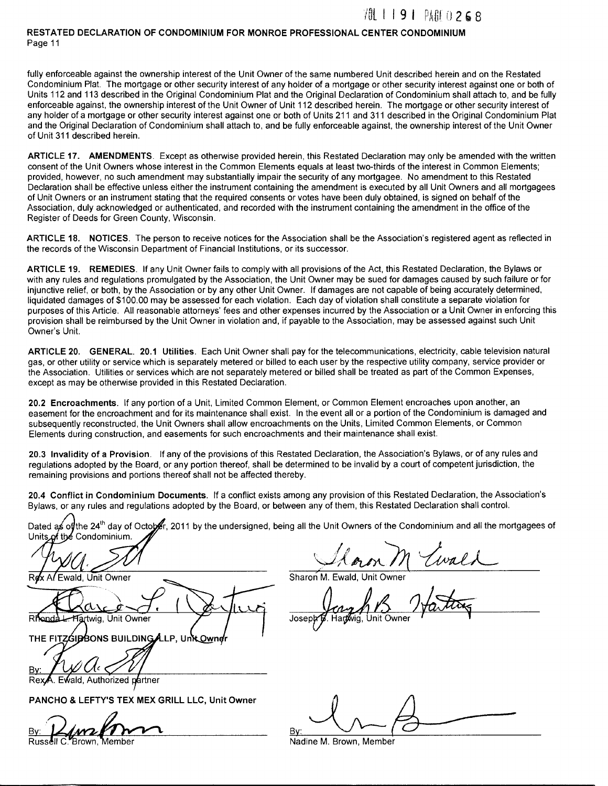fully enforceable against the ownership interest of the Unit Owner of the same numbered Unit described herein and on the Restated Condominium Plat. The mortgage or other security interest of any holder of a mortgage or other security interest against one or both of Units 112 and 113 described in the Original Condominium Plat and the Original Declaration of Condominium shall attach to, and be fully enforceable against, the ownership interest of the Unit Owner of Unit 112 described herein. The mortgage or other security interest of any holder of a mortgage or other security interest against one or both of Units 211 and 311 described in the Original Condominium Plat and the Original Declaration of Condominium shall attach to, and be fully enforceable against, the ownership interest of the Unit Owner of Unit 311 described herein.

**ARTICLE 17. AMENDMENTS.** Except as otherwise provided herein, this Restated Declaration may only be amended with the written consent of the Unit Owners whose interest in the Common Elements equals at least two-thirds of the interest in Common Elements; provided, however, no such amendment may substantially impair the security of any mortgagee. No amendment to this Restated Declaration shall be effective unless either the instrument containing the amendment is executed by all Unit Owners and all mortgagees of Unit Owners or an instrument stating that the required consents or votes have been duly obtained, is signed on behalf of the Association, duly acknowledged or authenticated, and recorded with the instrument containing the amendment in the office of the Register of Deeds for Green County, Wisconsin.

**ARTICLE 18. NOTICES.** The person to receive notices for the Association shall be the Association's registered agent as reflected in the records of the Wisconsin Department of Financial Institutions, or its successor.

**ARTICLE 19. REMEDIES.** If any Unit Owner fails to comply with all provisions of the Act, this Restated Declaration, the Bylaws or with any rules and regulations promulgated by the Association, the Unit Owner may be sued for damages caused by such failure or for injunctive relief, or both, by the Association or by any other Unit Owner. If damages are not capable of being accurately determined, liquidated damages of \$100.00 may be assessed for each violation. Each day of violation shall constitute a separate violation for purposes of this Article. All reasonable attorneys' fees and other expenses incurred by the Association or a Unit Owner in enforcing this provision shall be reimbursed by the Unit Owner in violation and, if payable to the Association, may be assessed against such Unit Owner's Unit.

**ARTICLE 20. GENERAL. 20.1 Utilities.** Each Unit Owner shall pay for the telecommunications, electricity, cable television natural gas, or other utility or service which is separately metered or billed to each user by the respective utility company, service provider or the Association. Utilities or services which are not separately metered or billed shall be treated as part of the Common Expenses, except as may be otherwise provided in this Restated Declaration.

**20.2 Encroachments.** If any portion of a Unit, Limited Common Element, or Common Element encroaches upon another, an easement for the encroachment and for its maintenance shall exist. In the event all or a portion of the Condominium is damaged and subsequently reconstructed, the Unit Owners shall allow encroachments on the Units, Limited Common Elements, or Common Elements during construction, and easements for such encroachments and their maintenance shall exist.

**20.3 Invalidity of a Provision.** If any of the provisions of this Restated Declaration, the Association's Bylaws, or of any rules and regulations adopted by the Board, or any portion thereof, shall be determined to be invalid by a court of competent jurisdiction, the remaining provisions and portions thereof shall not be affected thereby.

**20.4 Conflict in Condominium Documents.** If a conflict exists among any provision of this Restated Declaration, the Association's Bylaws, or any rules and regulations adopted by the Board, or between any of them, this Restated Declaration shall control.

Dated as of the 24<sup>th</sup> day of October, 2011 by the undersigned, being all the Unit Owners of the Condominium and all the mortgagees of Units of the Condominium.

Ewald, Unit Owner

Hartwig, Unit Owner

THE FITZGIBBONS BUILDING ALLP, Unk Own

Sharon M.

Josep**}** 

Ewald, Authorized partner

**PANCHO & LEFTY'S TEX MEX GRILL LLC, Unit Owner** 

Russ  $\frac{By}{By}$   $\frac{Dy}{By}$   $\frac{Dy}{By}$   $\frac{Dy}{By}$   $\frac{Dy}{By}$   $\frac{Dy}{By}$   $\frac{Dy}{By}$   $\frac{Dy}{By}$   $\frac{Dy}{By}$ 

----